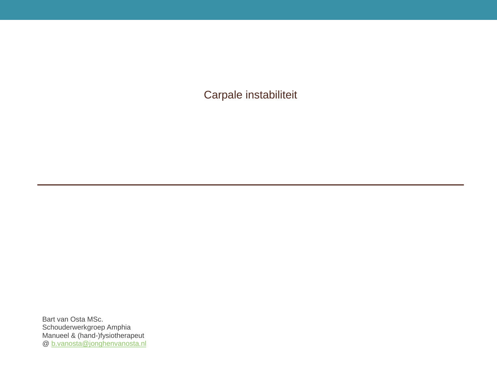Carpale instabiliteit

Bart van Osta MSc. Schouderwerkgroep Amphia Manueel & (hand-)fysiotherapeut @ [b.vanosta@jonghenvanosta.nl](mailto:b.vanosta@jonghenvanosta.nl)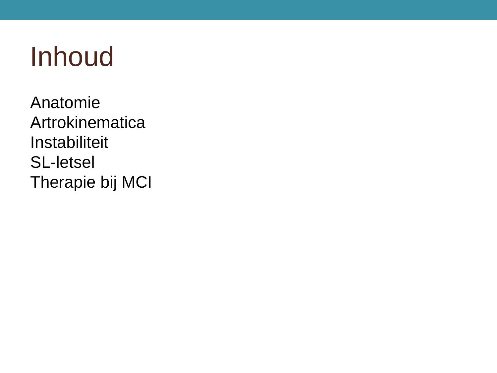## Inhoud

Anatomie Artrokinematica **Instabiliteit** SL-letsel Therapie bij MCI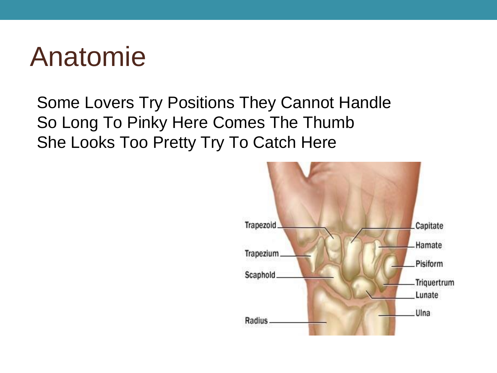Some Lovers Try Positions They Cannot Handle So Long To Pinky Here Comes The Thumb She Looks Too Pretty Try To Catch Here

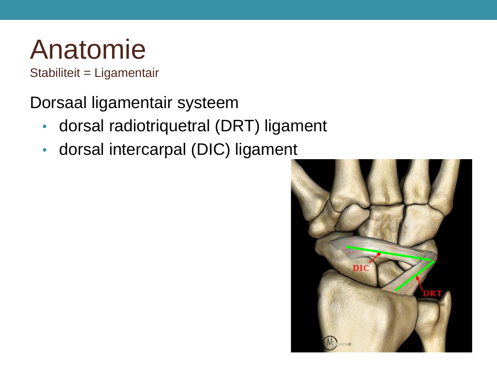Stabiliteit = Ligamentair

Dorsaal ligamentair systeem

- dorsal radiotriquetral (DRT) ligament
- dorsal intercarpal (DIC) ligament

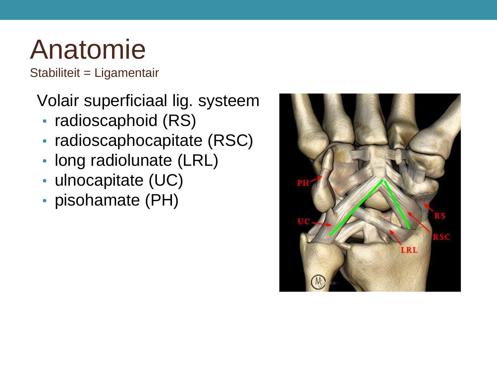Stabiliteit = Ligamentair

Volair superficiaal lig. systeem

- radioscaphoid (RS)
- radioscaphocapitate (RSC)
- long radiolunate (LRL)
- ulnocapitate (UC)
- pisohamate (PH)

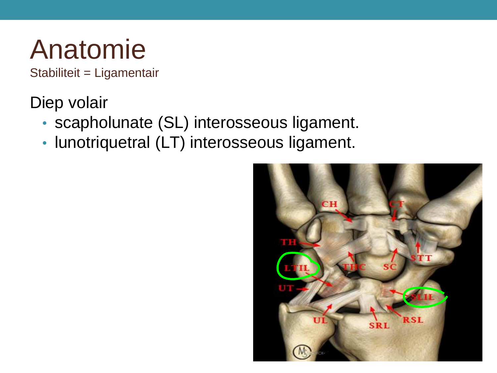Stabiliteit = Ligamentair

Diep volair

- scapholunate (SL) interosseous ligament.
- lunotriquetral (LT) interosseous ligament.

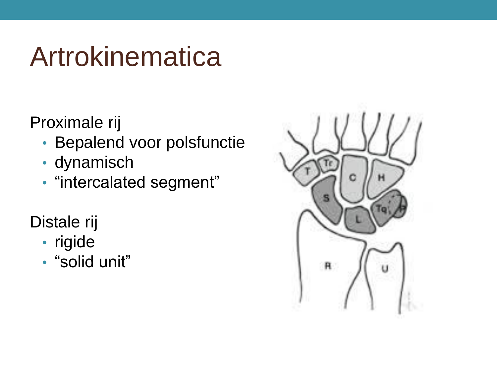### Artrokinematica

Proximale rij

- Bepalend voor polsfunctie
- dynamisch
- "intercalated segment"

Distale rij

- rigide
- "solid unit"

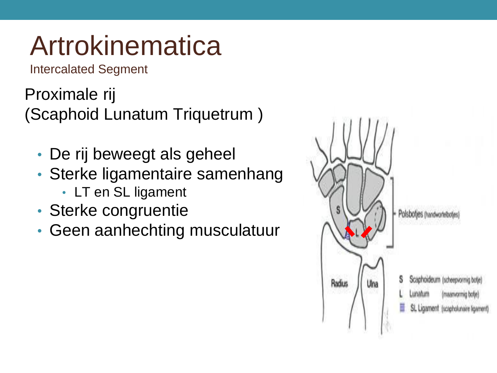# Artrokinematica

Intercalated Segment

Proximale rij (Scaphoid Lunatum Triquetrum )

- De rij beweegt als geheel
- Sterke ligamentaire samenhang
	- LT en SL ligament
- Sterke congruentie
- Geen aanhechting musculatuur

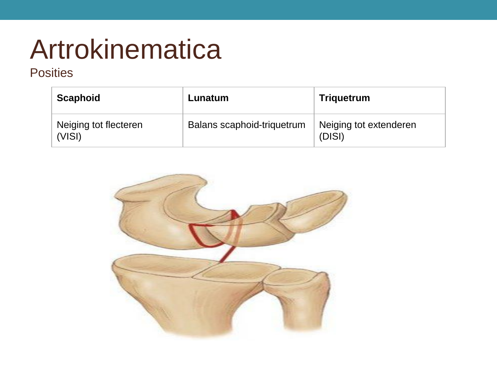### Artrokinematica

#### **Posities**

| <b>Scaphoid</b>                 | Lunatum                    | <b>Triquetrum</b>                |
|---------------------------------|----------------------------|----------------------------------|
| Neiging tot flecteren<br>(VISI) | Balans scaphoid-triquetrum | Neiging tot extenderen<br>(DISI) |

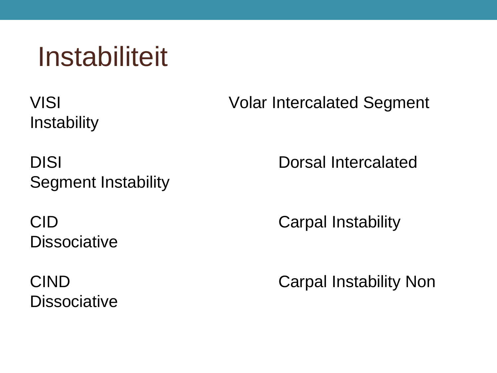### **Instabiliteit**

**Instability** 

DISI Dorsal Intercalated Segment Instability

**Dissociative** 

**Dissociative** 

VISI Volar Intercalated Segment

CID Carpal Instability

CIND Carpal Instability Non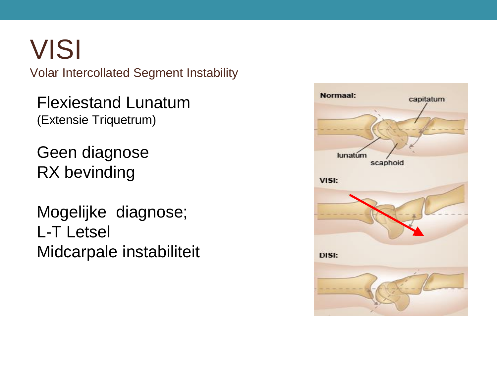## VISI

Volar Intercollated Segment Instability

Flexiestand Lunatum (Extensie Triquetrum)

Geen diagnose RX bevinding

Mogelijke diagnose; L-T Letsel Midcarpale instabiliteit

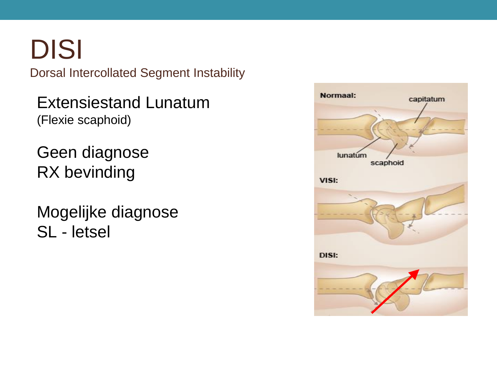## DISI

Dorsal Intercollated Segment Instability

Extensiestand Lunatum (Flexie scaphoid)

Geen diagnose RX bevinding

Mogelijke diagnose SL - letsel

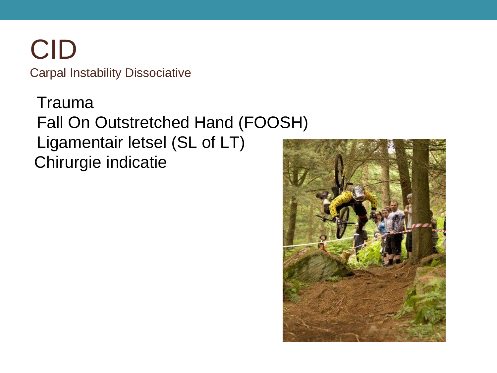CID Carpal Instability Dissociative

Trauma Fall On Outstretched Hand (FOOSH) Ligamentair letsel (SL of LT) Chirurgie indicatie

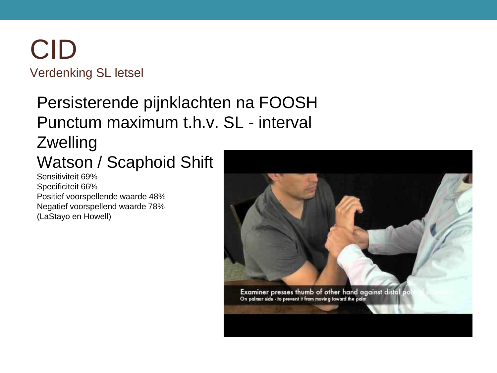### CID Verdenking SL letsel

### Persisterende pijnklachten na FOOSH Punctum maximum t.h.v. SL - interval Zwelling Watson / Scaphoid Shift

Sensitiviteit 69% Specificiteit 66% Positief voorspellende waarde 48% Negatief voorspellend waarde 78% (LaStayo en Howell)

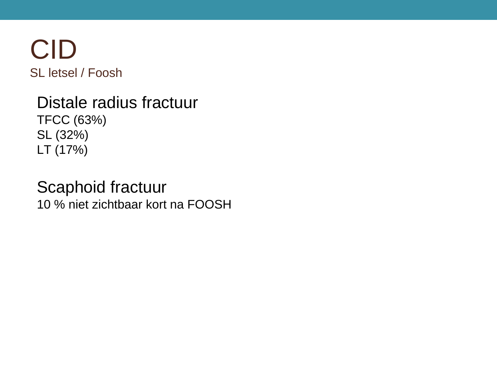CID SL letsel / Foosh

Distale radius fractuur TFCC (63%) SL (32%) LT (17%)

#### Scaphoid fractuur

10 % niet zichtbaar kort na FOOSH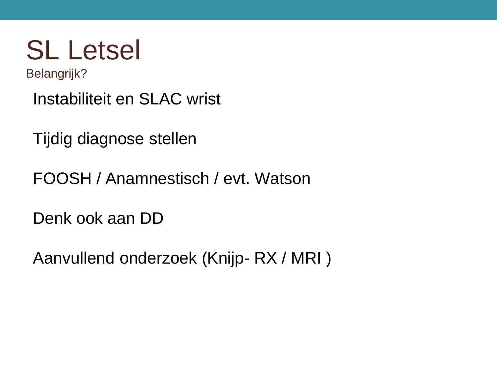

Belangrijk?

Instabiliteit en SLAC wrist

Tijdig diagnose stellen

FOOSH / Anamnestisch / evt. Watson

Denk ook aan DD

Aanvullend onderzoek (Knijp- RX / MRI )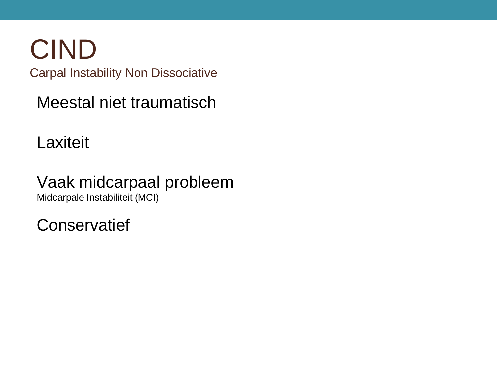### CIND Carpal Instability Non Dissociative

### Meestal niet traumatisch

**Laxiteit** 

Vaak midcarpaal probleem

Midcarpale Instabiliteit (MCI)

**Conservatief**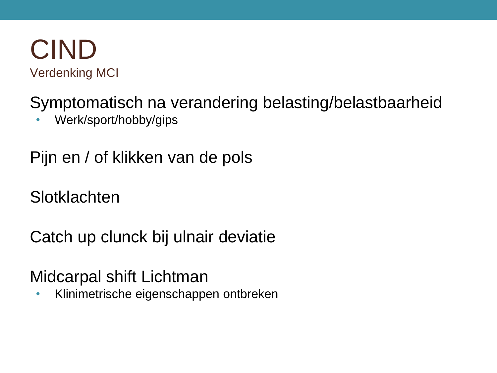

Symptomatisch na verandering belasting/belastbaarheid

• Werk/sport/hobby/gips

Pijn en / of klikken van de pols

**Slotklachten** 

Catch up clunck bij ulnair deviatie

Midcarpal shift Lichtman

• Klinimetrische eigenschappen ontbreken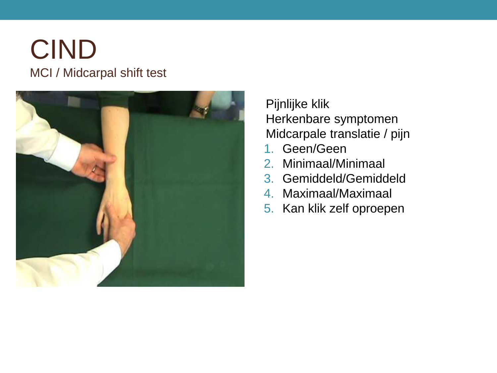### CIND MCI / Midcarpal shift test



Pijnlijke klik Herkenbare symptomen Midcarpale translatie / pijn

- 1. Geen/Geen
- 2. Minimaal/Minimaal
- 3. Gemiddeld/Gemiddeld
- 4. Maximaal/Maximaal
- 5. Kan klik zelf oproepen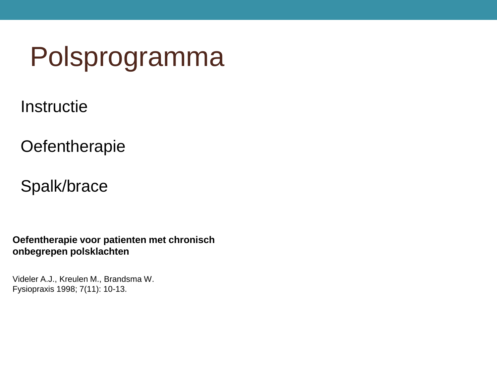**Instructie** 

**Oefentherapie** 

Spalk/brace

**Oefentherapie voor patienten met chronisch onbegrepen polsklachten**

Videler A.J., Kreulen M., Brandsma W. Fysiopraxis 1998; 7(11): 10-13.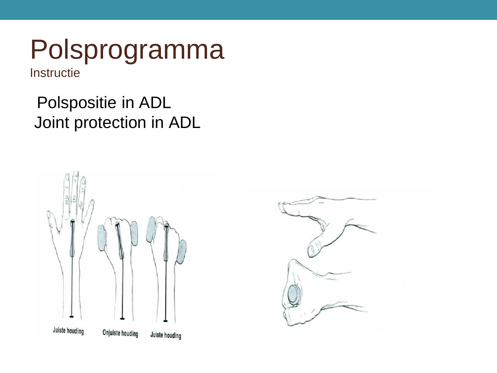**Instructie** 

### Polspositie in ADL Joint protection in ADL



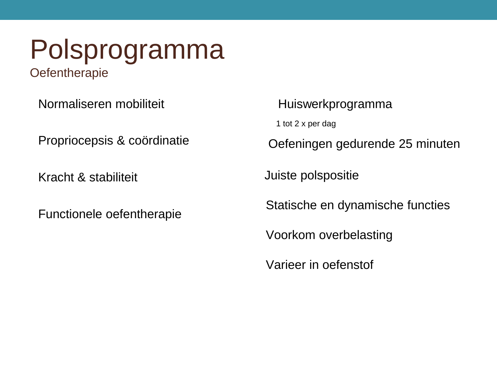**Oefentherapie** 

Normaliseren mobiliteit

Propriocepsis & coördinatie

Kracht & stabiliteit

Functionele oefentherapie

Huiswerkprogramma

1 tot 2 x per dag

Oefeningen gedurende 25 minuten

Juiste polspositie

Statische en dynamische functies

Voorkom overbelasting

Varieer in oefenstof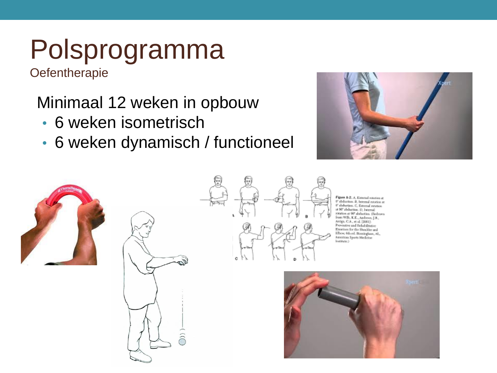**Oefentherapie** 

Minimaal 12 weken in opbouw

- 6 weken isometrisch
- 6 weken dynamisch / functioneel







Figure A-2. A. External rotation at 0" abduction. B, leternal rotation at If absbetten, C. Esternal paraticuat 90° abduction. D, Iwiernal totation at 90° abduction. (Fiedman ron Wife, K.E., Andrews, J.R., Arrien, C.A., so al. (2001). Preventive and Reliabilitative Enorcises for the Shoulder and Ellow, 6th ed. Birmingham, AL, American Sports Medicine Institute.)

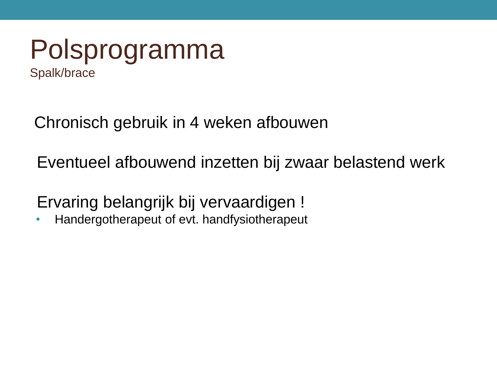### Polsprogramma Spalk/brace

Chronisch gebruik in 4 weken afbouwen

Eventueel afbouwend inzetten bij zwaar belastend werk

Ervaring belangrijk bij vervaardigen !

• Handergotherapeut of evt. handfysiotherapeut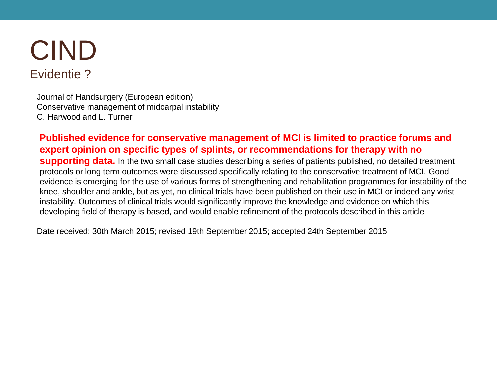### CIND Evidentie ?

Journal of Handsurgery (European edition) Conservative management of midcarpal instability C. Harwood and L. Turner

**Published evidence for conservative management of MCI is limited to practice forums and expert opinion on specific types of splints, or recommendations for therapy with no supporting data.** In the two small case studies describing a series of patients published, no detailed treatment protocols or long term outcomes were discussed specifically relating to the conservative treatment of MCI. Good evidence is emerging for the use of various forms of strengthening and rehabilitation programmes for instability of the knee, shoulder and ankle, but as yet, no clinical trials have been published on their use in MCI or indeed any wrist instability. Outcomes of clinical trials would significantly improve the knowledge and evidence on which this developing field of therapy is based, and would enable refinement of the protocols described in this article

Date received: 30th March 2015; revised 19th September 2015; accepted 24th September 2015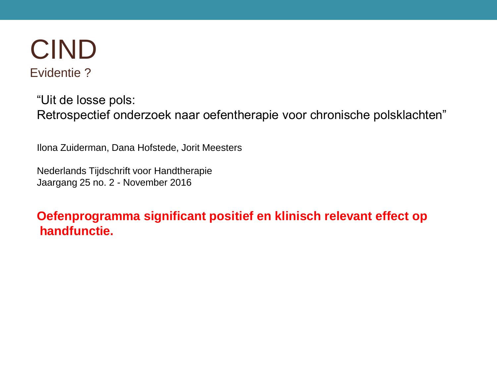

"Uit de losse pols: Retrospectief onderzoek naar oefentherapie voor chronische polsklachten"

Ilona Zuiderman, Dana Hofstede, Jorit Meesters

Nederlands Tijdschrift voor Handtherapie Jaargang 25 no. 2 - November 2016

**Oefenprogramma significant positief en klinisch relevant effect op handfunctie.**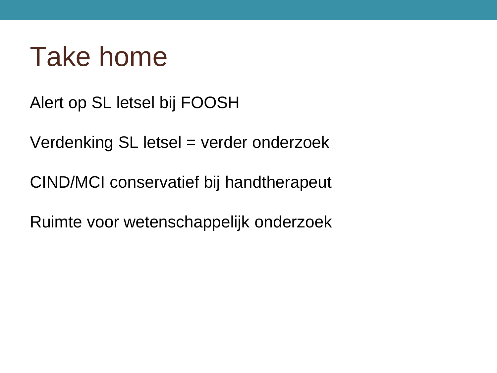### Take home

Alert op SL letsel bij FOOSH

Verdenking SL letsel = verder onderzoek

CIND/MCI conservatief bij handtherapeut

Ruimte voor wetenschappelijk onderzoek